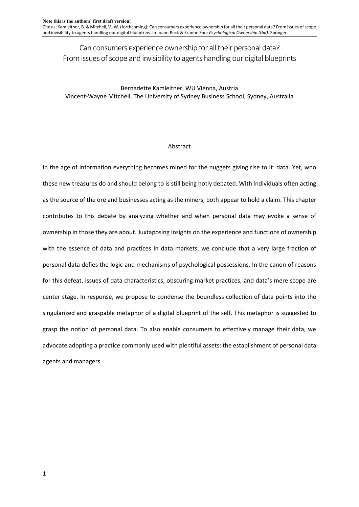Can consumers experience ownership for all their personal data? From issues of scope and invisibility to agents handling our digital blueprints

Bernadette Kamleitner, WU Vienna, Austria Vincent-Wayne Mitchell, The University of Sydney Business School, Sydney, Australia

## Abstract

In the age of information everything becomes mined for the nuggets giving rise to it: data. Yet, who these new treasures do and should belong to is still being hotly debated. With individuals often acting as the source of the ore and businesses acting as the miners, both appear to hold a claim. This chapter contributes to this debate by analyzing whether and when personal data may evoke a sense of ownership in those they are about. Juxtaposing insights on the experience and functions of ownership with the essence of data and practices in data markets, we conclude that a very large fraction of personal data defies the logic and mechanisms of psychological possessions. In the canon of reasons for this defeat, issues of data characteristics, obscuring market practices, and data's mere scope are center stage. In response, we propose to condense the boundless collection of data points into the singularized and graspable metaphor of a digital blueprint of the self. This metaphor is suggested to grasp the notion of personal data. To also enable consumers to effectively manage their data, we advocate adopting a practice commonly used with plentiful assets: the establishment of personal data agents and managers.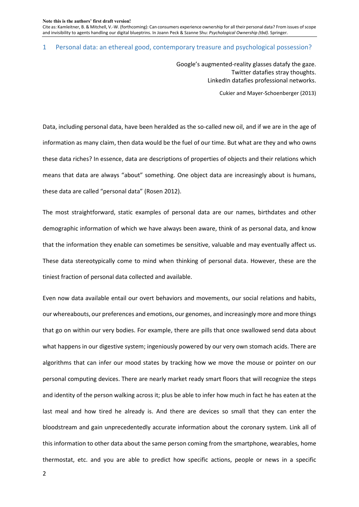### 1 Personal data: an ethereal good, contemporary treasure and psychological possession?

Google's augmented-reality glasses datafy the gaze. Twitter datafies stray thoughts. LinkedIn datafies professional networks.

Cukier and Mayer-Schoenberger (2013)

Data, including personal data, have been heralded as the so-called new oil, and if we are in the age of information as many claim, then data would be the fuel of our time. But what are they and who owns these data riches? In essence, data are descriptions of properties of objects and their relations which means that data are always "about" something. One object data are increasingly about is humans, these data are called "personal data" (Rosen 2012).

The most straightforward, static examples of personal data are our names, birthdates and other demographic information of which we have always been aware, think of as personal data, and know that the information they enable can sometimes be sensitive, valuable and may eventually affect us. These data stereotypically come to mind when thinking of personal data. However, these are the tiniest fraction of personal data collected and available.

Even now data available entail our overt behaviors and movements, our social relations and habits, our whereabouts, our preferences and emotions, our genomes, and increasingly more and more things that go on within our very bodies. For example, there are pills that once swallowed send data about what happens in our digestive system; ingeniously powered by our very own stomach acids. There are algorithms that can infer our mood states by tracking how we move the mouse or pointer on our personal computing devices. There are nearly market ready smart floors that will recognize the steps and identity of the person walking across it; plus be able to infer how much in fact he has eaten at the last meal and how tired he already is. And there are devices so small that they can enter the bloodstream and gain unprecedentedly accurate information about the coronary system. Link all of this information to other data about the same person coming from the smartphone, wearables, home thermostat, etc. and you are able to predict how specific actions, people or news in a specific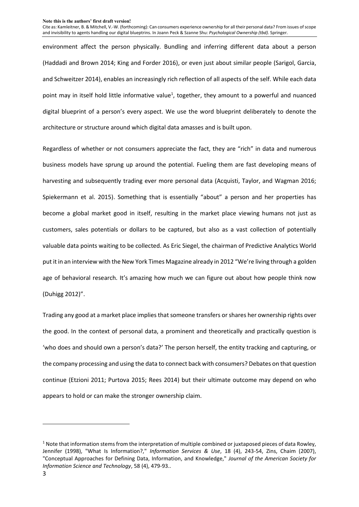Cite as: Kamleitner, B. & Mitchell, V.-W. (forthcoming): Can consumers experience ownership for all their personal data? From issues of scope and invisibility to agents handling our digital blueptrins. In Joann Peck & Szanne Shu: *Psychological Ownership (tbd)*. Springer.

environment affect the person physically. Bundling and inferring different data about a person (Haddadi and Brown 2014; King and Forder 2016), or even just about similar people (Sarigol, Garcia, and Schweitzer 2014), enables an increasingly rich reflection of all aspects of the self. While each data point may in itself hold little informative value<sup>1</sup>, together, they amount to a powerful and nuanced digital blueprint of a person's every aspect. We use the word blueprint deliberately to denote the architecture or structure around which digital data amasses and is built upon.

Regardless of whether or not consumers appreciate the fact, they are "rich" in data and numerous business models have sprung up around the potential. Fueling them are fast developing means of harvesting and subsequently trading ever more personal data (Acquisti, Taylor, and Wagman 2016; Spiekermann et al. 2015). Something that is essentially "about" a person and her properties has become a global market good in itself, resulting in the market place viewing humans not just as customers, sales potentials or dollars to be captured, but also as a vast collection of potentially valuable data points waiting to be collected. As Eric Siegel, the chairman of Predictive Analytics World put it in an interview with the New York Times Magazine already in 2012 "We're living through a golden age of behavioral research. It's amazing how much we can figure out about how people think now (Duhigg 2012)".

Trading any good at a market place implies that someone transfers or shares her ownership rights over the good. In the context of personal data, a prominent and theoretically and practically question is 'who does and should own a person's data?' The person herself, the entity tracking and capturing, or the company processing and using the data to connect back with consumers? Debates on that question continue (Etzioni 2011; Purtova 2015; Rees 2014) but their ultimate outcome may depend on who appears to hold or can make the stronger ownership claim.

**.** 

 $1$  Note that information stems from the interpretation of multiple combined or juxtaposed pieces of data Rowley, Jennifer (1998), "What Is Information?," *Information Services & Use*, 18 (4), 243-54, Zins, Chaim (2007), "Conceptual Approaches for Defining Data, Information, and Knowledge," *Journal of the American Society for Information Science and Technology*, 58 (4), 479-93..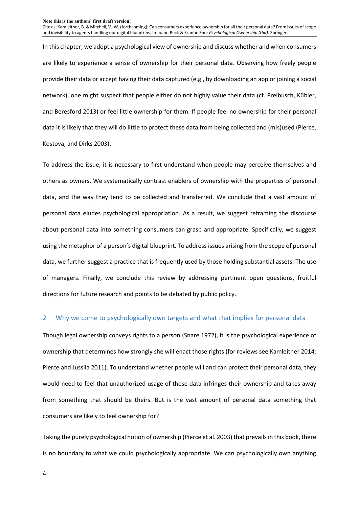Cite as: Kamleitner, B. & Mitchell, V.-W. (forthcoming): Can consumers experience ownership for all their personal data? From issues of scope and invisibility to agents handling our digital blueptrins. In Joann Peck & Szanne Shu: *Psychological Ownership (tbd)*. Springer.

In this chapter, we adopt a psychological view of ownership and discuss whether and when consumers are likely to experience a sense of ownership for their personal data. Observing how freely people provide their data or accept having their data captured (e.g., by downloading an app or joining a social network), one might suspect that people either do not highly value their data (cf. Preibusch, Kübler, and Beresford 2013) or feel little ownership for them. If people feel no ownership for their personal data it is likely that they will do little to protect these data from being collected and (mis)used (Pierce, Kostova, and Dirks 2003).

To address the issue, it is necessary to first understand when people may perceive themselves and others as owners. We systematically contrast enablers of ownership with the properties of personal data, and the way they tend to be collected and transferred. We conclude that a vast amount of personal data eludes psychological appropriation. As a result, we suggest reframing the discourse about personal data into something consumers can grasp and appropriate. Specifically, we suggest using the metaphor of a person's digital blueprint. To address issues arising from the scope of personal data, we further suggest a practice that is frequently used by those holding substantial assets: The use of managers. Finally, we conclude this review by addressing pertinent open questions, fruitful directions for future research and points to be debated by public policy.

## 2 Why we come to psychologically own targets and what that implies for personal data

Though legal ownership conveys rights to a person (Snare 1972), it is the psychological experience of ownership that determines how strongly she will enact those rights (for reviews see Kamleitner 2014; Pierce and Jussila 2011). To understand whether people will and can protect their personal data, they would need to feel that unauthorized usage of these data infringes their ownership and takes away from something that should be theirs. But is the vast amount of personal data something that consumers are likely to feel ownership for?

Taking the purely psychological notion of ownership (Pierce et al. 2003) that prevails in this book, there is no boundary to what we could psychologically appropriate. We can psychologically own anything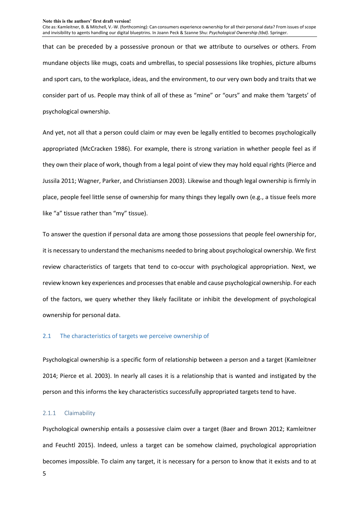Cite as: Kamleitner, B. & Mitchell, V.-W. (forthcoming): Can consumers experience ownership for all their personal data? From issues of scope and invisibility to agents handling our digital blueptrins. In Joann Peck & Szanne Shu: *Psychological Ownership (tbd)*. Springer.

that can be preceded by a possessive pronoun or that we attribute to ourselves or others. From mundane objects like mugs, coats and umbrellas, to special possessions like trophies, picture albums and sport cars, to the workplace, ideas, and the environment, to our very own body and traits that we consider part of us. People may think of all of these as "mine" or "ours" and make them 'targets' of psychological ownership.

And yet, not all that a person could claim or may even be legally entitled to becomes psychologically appropriated (McCracken 1986). For example, there is strong variation in whether people feel as if they own their place of work, though from a legal point of view they may hold equal rights (Pierce and Jussila 2011; Wagner, Parker, and Christiansen 2003). Likewise and though legal ownership is firmly in place, people feel little sense of ownership for many things they legally own (e.g., a tissue feels more like "a" tissue rather than "my" tissue).

To answer the question if personal data are among those possessions that people feel ownership for, it is necessary to understand the mechanisms needed to bring about psychological ownership. We first review characteristics of targets that tend to co-occur with psychological appropriation. Next, we review known key experiences and processes that enable and cause psychological ownership. For each of the factors, we query whether they likely facilitate or inhibit the development of psychological ownership for personal data.

### 2.1 The characteristics of targets we perceive ownership of

Psychological ownership is a specific form of relationship between a person and a target (Kamleitner 2014; Pierce et al. 2003). In nearly all cases it is a relationship that is wanted and instigated by the person and this informs the key characteristics successfully appropriated targets tend to have.

## 2.1.1 Claimability

Psychological ownership entails a possessive claim over a target (Baer and Brown 2012; Kamleitner and Feuchtl 2015). Indeed, unless a target can be somehow claimed, psychological appropriation becomes impossible. To claim any target, it is necessary for a person to know that it exists and to at

5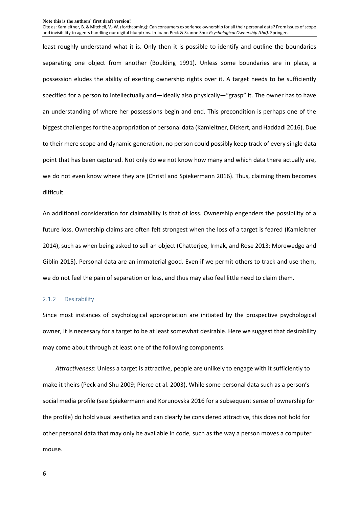Cite as: Kamleitner, B. & Mitchell, V.-W. (forthcoming): Can consumers experience ownership for all their personal data? From issues of scope and invisibility to agents handling our digital blueptrins. In Joann Peck & Szanne Shu: *Psychological Ownership (tbd)*. Springer.

least roughly understand what it is. Only then it is possible to identify and outline the boundaries separating one object from another (Boulding 1991). Unless some boundaries are in place, a possession eludes the ability of exerting ownership rights over it. A target needs to be sufficiently specified for a person to intellectually and—ideally also physically—"grasp" it. The owner has to have an understanding of where her possessions begin and end. This precondition is perhaps one of the biggest challenges for the appropriation of personal data (Kamleitner, Dickert, and Haddadi 2016). Due to their mere scope and dynamic generation, no person could possibly keep track of every single data point that has been captured. Not only do we not know how many and which data there actually are, we do not even know where they are (Christl and Spiekermann 2016). Thus, claiming them becomes difficult.

An additional consideration for claimability is that of loss. Ownership engenders the possibility of a future loss. Ownership claims are often felt strongest when the loss of a target is feared (Kamleitner 2014), such as when being asked to sell an object (Chatterjee, Irmak, and Rose 2013; Morewedge and Giblin 2015). Personal data are an immaterial good. Even if we permit others to track and use them, we do not feel the pain of separation or loss, and thus may also feel little need to claim them.

## 2.1.2 Desirability

Since most instances of psychological appropriation are initiated by the prospective psychological owner, it is necessary for a target to be at least somewhat desirable. Here we suggest that desirability may come about through at least one of the following components.

*Attractiveness*: Unless a target is attractive, people are unlikely to engage with it sufficiently to make it theirs (Peck and Shu 2009; Pierce et al. 2003). While some personal data such as a person's social media profile (see Spiekermann and Korunovska 2016 for a subsequent sense of ownership for the profile) do hold visual aesthetics and can clearly be considered attractive, this does not hold for other personal data that may only be available in code, such as the way a person moves a computer mouse.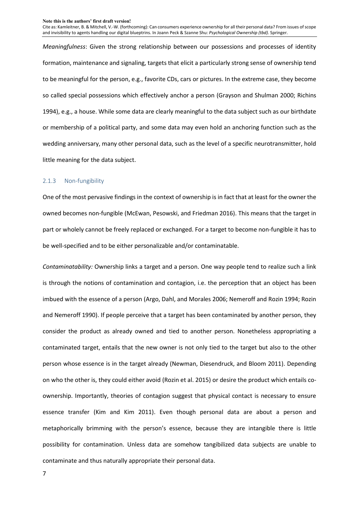Cite as: Kamleitner, B. & Mitchell, V.-W. (forthcoming): Can consumers experience ownership for all their personal data? From issues of scope and invisibility to agents handling our digital blueptrins. In Joann Peck & Szanne Shu: *Psychological Ownership (tbd)*. Springer.

*Meaningfulness*: Given the strong relationship between our possessions and processes of identity formation, maintenance and signaling, targets that elicit a particularly strong sense of ownership tend to be meaningful for the person, e.g., favorite CDs, cars or pictures. In the extreme case, they become so called special possessions which effectively anchor a person (Grayson and Shulman 2000; Richins 1994), e.g., a house. While some data are clearly meaningful to the data subject such as our birthdate or membership of a political party, and some data may even hold an anchoring function such as the wedding anniversary, many other personal data, such as the level of a specific neurotransmitter, hold little meaning for the data subject.

## 2.1.3 Non-fungibility

One of the most pervasive findings in the context of ownership is in fact that at least for the owner the owned becomes non-fungible (McEwan, Pesowski, and Friedman 2016). This means that the target in part or wholely cannot be freely replaced or exchanged. For a target to become non-fungible it has to be well-specified and to be either personalizable and/or contaminatable.

*Contaminatability:* Ownership links a target and a person. One way people tend to realize such a link is through the notions of contamination and contagion, i.e. the perception that an object has been imbued with the essence of a person (Argo, Dahl, and Morales 2006; Nemeroff and Rozin 1994; Rozin and Nemeroff 1990). If people perceive that a target has been contaminated by another person, they consider the product as already owned and tied to another person. Nonetheless appropriating a contaminated target, entails that the new owner is not only tied to the target but also to the other person whose essence is in the target already (Newman, Diesendruck, and Bloom 2011). Depending on who the other is, they could either avoid (Rozin et al. 2015) or desire the product which entails coownership. Importantly, theories of contagion suggest that physical contact is necessary to ensure essence transfer (Kim and Kim 2011). Even though personal data are about a person and metaphorically brimming with the person's essence, because they are intangible there is little possibility for contamination. Unless data are somehow tangibilized data subjects are unable to contaminate and thus naturally appropriate their personal data.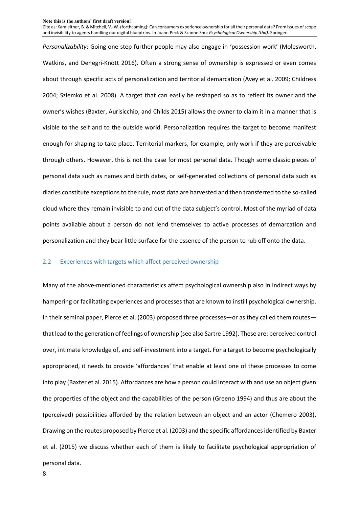Cite as: Kamleitner, B. & Mitchell, V.-W. (forthcoming): Can consumers experience ownership for all their personal data? From issues of scope and invisibility to agents handling our digital blueptrins. In Joann Peck & Szanne Shu: *Psychological Ownership (tbd)*. Springer.

*Personalizability*: Going one step further people may also engage in 'possession work' (Molesworth, Watkins, and Denegri-Knott 2016). Often a strong sense of ownership is expressed or even comes about through specific acts of personalization and territorial demarcation (Avey et al. 2009; Childress 2004; Szlemko et al. 2008). A target that can easily be reshaped so as to reflect its owner and the owner's wishes (Baxter, Aurisicchio, and Childs 2015) allows the owner to claim it in a manner that is visible to the self and to the outside world. Personalization requires the target to become manifest enough for shaping to take place. Territorial markers, for example, only work if they are perceivable through others. However, this is not the case for most personal data. Though some classic pieces of personal data such as names and birth dates, or self-generated collections of personal data such as diaries constitute exceptions to the rule, most data are harvested and then transferred to the so-called cloud where they remain invisible to and out of the data subject's control. Most of the myriad of data points available about a person do not lend themselves to active processes of demarcation and personalization and they bear little surface for the essence of the person to rub off onto the data.

### 2.2 Experiences with targets which affect perceived ownership

Many of the above-mentioned characteristics affect psychological ownership also in indirect ways by hampering or facilitating experiences and processes that are known to instill psychological ownership. In their seminal paper, Pierce et al. (2003) proposed three processes—or as they called them routes that lead to the generation of feelings of ownership (see also Sartre 1992). These are: perceived control over, intimate knowledge of, and self-investment into a target. For a target to become psychologically appropriated, it needs to provide 'affordances' that enable at least one of these processes to come into play (Baxter et al. 2015). Affordances are how a person could interact with and use an object given the properties of the object and the capabilities of the person (Greeno 1994) and thus are about the (perceived) possibilities afforded by the relation between an object and an actor (Chemero 2003). Drawing on the routes proposed by Pierce et al. (2003) and the specific affordances identified by Baxter et al. (2015) we discuss whether each of them is likely to facilitate psychological appropriation of personal data.

8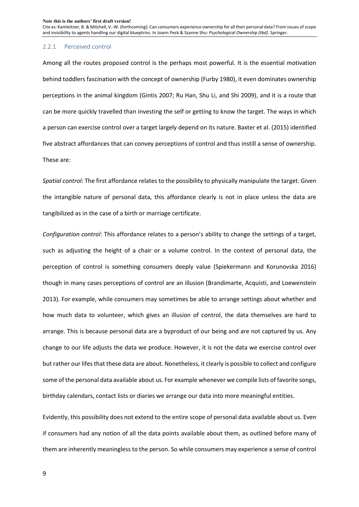### 2.2.1 Perceived control

Among all the routes proposed control is the perhaps most powerful. It is the essential motivation behind toddlers fascination with the concept of ownership (Furby 1980), it even dominates ownership perceptions in the animal kingdom (Gintis 2007; Ru Han, Shu Li, and Shi 2009), and it is a route that can be more quickly travelled than investing the self or getting to know the target. The ways in which a person can exercise control over a target largely depend on its nature. Baxter et al. (2015) identified five abstract affordances that can convey perceptions of control and thus instill a sense of ownership. These are:

*Spatial control*: The first affordance relates to the possibility to physically manipulate the target. Given the intangible nature of personal data, this affordance clearly is not in place unless the data are tangibilized as in the case of a birth or marriage certificate.

*Configuration control*: This affordance relates to a person's ability to change the settings of a target, such as adjusting the height of a chair or a volume control. In the context of personal data, the perception of control is something consumers deeply value (Spiekermann and Korunovska 2016) though in many cases perceptions of control are an illusion (Brandimarte, Acquisti, and Loewenstein 2013). For example, while consumers may sometimes be able to arrange settings about whether and how much data to volunteer, which gives an illusion of control, the data themselves are hard to arrange. This is because personal data are a byproduct of our being and are not captured by us. Any change to our life adjusts the data we produce. However, it is not the data we exercise control over but rather our lifes that these data are about. Nonetheless, it clearly is possible to collect and configure some of the personal data available about us. For example whenever we compile lists of favorite songs, birthday calendars, contact lists or diaries we arrange our data into more meaningful entities.

Evidently, this possibility does not extend to the entire scope of personal data available about us. Even if consumers had any notion of all the data points available about them, as outlined before many of them are inherently meaningless to the person. So while consumers may experience a sense of control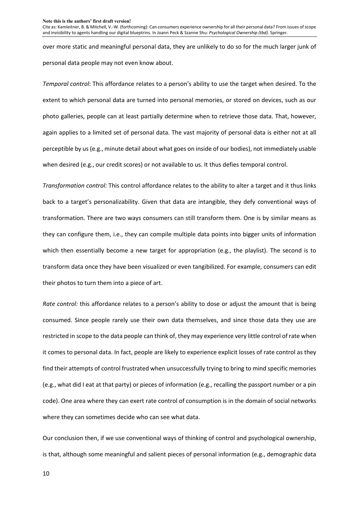over more static and meaningful personal data, they are unlikely to do so for the much larger junk of personal data people may not even know about.

*Temporal control*: This affordance relates to a person's ability to use the target when desired. To the extent to which personal data are turned into personal memories, or stored on devices, such as our photo galleries, people can at least partially determine when to retrieve those data. That, however, again applies to a limited set of personal data. The vast majority of personal data is either not at all perceptible by us (e.g., minute detail about what goes on inside of our bodies), not immediately usable when desired (e.g., our credit scores) or not available to us. It thus defies temporal control.

*Transformation control:* This control affordance relates to the ability to alter a target and it thus links back to a target's personalizability. Given that data are intangible, they defy conventional ways of transformation. There are two ways consumers can still transform them. One is by similar means as they can configure them, i.e., they can compile multiple data points into bigger units of information which then essentially become a new target for appropriation (e.g., the playlist). The second is to transform data once they have been visualized or even tangibilized. For example, consumers can edit their photos to turn them into a piece of art.

*Rate control:* this affordance relates to a person's ability to dose or adjust the amount that is being consumed. Since people rarely use their own data themselves, and since those data they use are restricted in scope to the data people can think of, they may experience very little control of rate when it comes to personal data. In fact, people are likely to experience explicit losses of rate control as they find their attempts of control frustrated when unsuccessfully trying to bring to mind specific memories (e.g., what did I eat at that party) or pieces of information (e.g., recalling the passport number or a pin code). One area where they can exert rate control of consumption is in the domain of social networks where they can sometimes decide who can see what data.

Our conclusion then, if we use conventional ways of thinking of control and psychological ownership, is that, although some meaningful and salient pieces of personal information (e.g., demographic data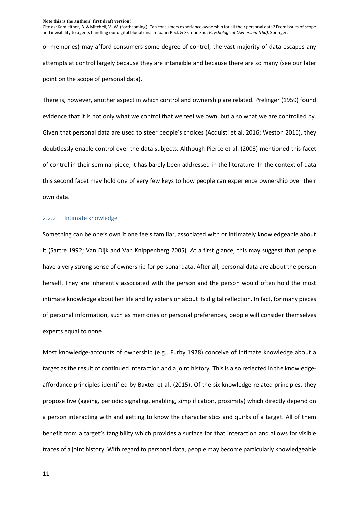or memories) may afford consumers some degree of control, the vast majority of data escapes any attempts at control largely because they are intangible and because there are so many (see our later point on the scope of personal data).

There is, however, another aspect in which control and ownership are related. Prelinger (1959) found evidence that it is not only what we control that we feel we own, but also what we are controlled by. Given that personal data are used to steer people's choices (Acquisti et al. 2016; Weston 2016), they doubtlessly enable control over the data subjects. Although Pierce et al. (2003) mentioned this facet of control in their seminal piece, it has barely been addressed in the literature. In the context of data this second facet may hold one of very few keys to how people can experience ownership over their own data.

### 2.2.2 Intimate knowledge

Something can be one's own if one feels familiar, associated with or intimately knowledgeable about it (Sartre 1992; Van Dijk and Van Knippenberg 2005). At a first glance, this may suggest that people have a very strong sense of ownership for personal data. After all, personal data are about the person herself. They are inherently associated with the person and the person would often hold the most intimate knowledge about her life and by extension about its digital reflection. In fact, for many pieces of personal information, such as memories or personal preferences, people will consider themselves experts equal to none.

Most knowledge-accounts of ownership (e.g., Furby 1978) conceive of intimate knowledge about a target as the result of continued interaction and a joint history. This is also reflected in the knowledgeaffordance principles identified by Baxter et al. (2015). Of the six knowledge-related principles, they propose five (ageing, periodic signaling, enabling, simplification, proximity) which directly depend on a person interacting with and getting to know the characteristics and quirks of a target. All of them benefit from a target's tangibility which provides a surface for that interaction and allows for visible traces of a joint history. With regard to personal data, people may become particularly knowledgeable

11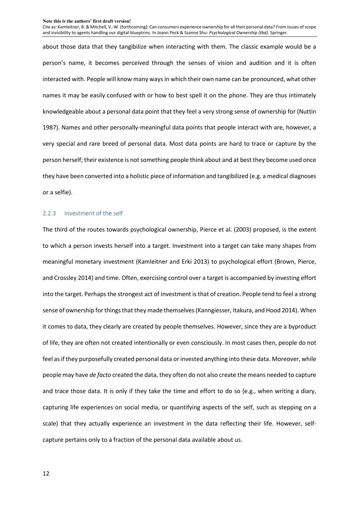Cite as: Kamleitner, B. & Mitchell, V.-W. (forthcoming): Can consumers experience ownership for all their personal data? From issues of scope and invisibility to agents handling our digital blueptrins. In Joann Peck & Szanne Shu: *Psychological Ownership (tbd)*. Springer.

about those data that they tangibilize when interacting with them. The classic example would be a person's name, it becomes perceived through the senses of vision and audition and it is often interacted with. People will know many ways in which their own name can be pronounced, what other names it may be easily confused with or how to best spell it on the phone. They are thus intimately knowledgeable about a personal data point that they feel a very strong sense of ownership for (Nuttin 1987). Names and other personally-meaningful data points that people interact with are, however, a very special and rare breed of personal data. Most data points are hard to trace or capture by the person herself; their existence is not something people think about and at best they become used once they have been converted into a holistic piece of information and tangibilized (e.g. a medical diagnoses or a selfie).

## 2.2.3 Investment of the self

The third of the routes towards psychological ownership, Pierce et al. (2003) proposed, is the extent to which a person invests herself into a target. Investment into a target can take many shapes from meaningful monetary investment (Kamleitner and Erki 2013) to psychological effort (Brown, Pierce, and Crossley 2014) and time. Often, exercising control over a target is accompanied by investing effort into the target. Perhaps the strongest act of investment is that of creation. People tend to feel a strong sense of ownership for things that they made themselves (Kanngiesser, Itakura, and Hood 2014). When it comes to data, they clearly are created by people themselves. However, since they are a byproduct of life, they are often not created intentionally or even consciously. In most cases then, people do not feel as if they purposefully created personal data or invested anything into these data. Moreover, while people may have *de facto* created the data, they often do not also create the means needed to capture and trace those data. It is only if they take the time and effort to do so (e.g., when writing a diary, capturing life experiences on social media, or quantifying aspects of the self, such as stepping on a scale) that they actually experience an investment in the data reflecting their life. However, selfcapture pertains only to a fraction of the personal data available about us.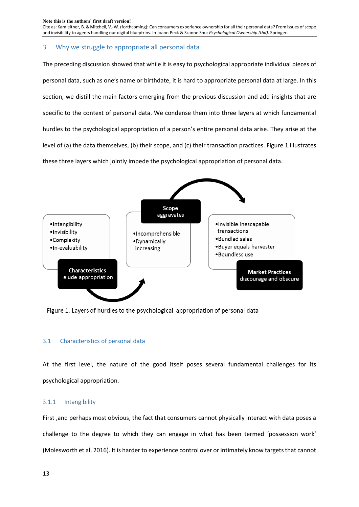## 3 Why we struggle to appropriate all personal data

The preceding discussion showed that while it is easy to psychological appropriate individual pieces of personal data, such as one's name or birthdate, it is hard to appropriate personal data at large. In this section, we distill the main factors emerging from the previous discussion and add insights that are specific to the context of personal data. We condense them into three layers at which fundamental hurdles to the psychological appropriation of a person's entire personal data arise. They arise at the level of (a) the data themselves, (b) their scope, and (c) their transaction practices. Figure 1 illustrates these three layers which jointly impede the psychological appropriation of personal data.



Figure 1. Layers of hurdles to the psychological appropriation of personal data

# 3.1 Characteristics of personal data

At the first level, the nature of the good itself poses several fundamental challenges for its psychological appropriation.

# 3.1.1 Intangibility

First ,and perhaps most obvious, the fact that consumers cannot physically interact with data poses a challenge to the degree to which they can engage in what has been termed 'possession work' (Molesworth et al. 2016). It is harder to experience control over or intimately know targets that cannot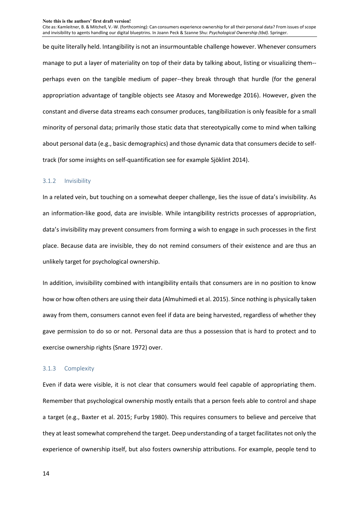Cite as: Kamleitner, B. & Mitchell, V.-W. (forthcoming): Can consumers experience ownership for all their personal data? From issues of scope and invisibility to agents handling our digital blueptrins. In Joann Peck & Szanne Shu: *Psychological Ownership (tbd)*. Springer.

be quite literally held. Intangibility is not an insurmountable challenge however. Whenever consumers manage to put a layer of materiality on top of their data by talking about, listing or visualizing them- perhaps even on the tangible medium of paper--they break through that hurdle (for the general appropriation advantage of tangible objects see Atasoy and Morewedge 2016). However, given the constant and diverse data streams each consumer produces, tangibilization is only feasible for a small minority of personal data; primarily those static data that stereotypically come to mind when talking about personal data (e.g., basic demographics) and those dynamic data that consumers decide to selftrack (for some insights on self-quantification see for example Sjöklint 2014).

# 3.1.2 Invisibility

In a related vein, but touching on a somewhat deeper challenge, lies the issue of data's invisibility. As an information-like good, data are invisible. While intangibility restricts processes of appropriation, data's invisibility may prevent consumers from forming a wish to engage in such processes in the first place. Because data are invisible, they do not remind consumers of their existence and are thus an unlikely target for psychological ownership.

In addition, invisibility combined with intangibility entails that consumers are in no position to know how or how often others are using their data (Almuhimedi et al. 2015). Since nothing is physically taken away from them, consumers cannot even feel if data are being harvested, regardless of whether they gave permission to do so or not. Personal data are thus a possession that is hard to protect and to exercise ownership rights (Snare 1972) over.

## 3.1.3 Complexity

Even if data were visible, it is not clear that consumers would feel capable of appropriating them. Remember that psychological ownership mostly entails that a person feels able to control and shape a target (e.g., Baxter et al. 2015; Furby 1980). This requires consumers to believe and perceive that they at least somewhat comprehend the target. Deep understanding of a target facilitates not only the experience of ownership itself, but also fosters ownership attributions. For example, people tend to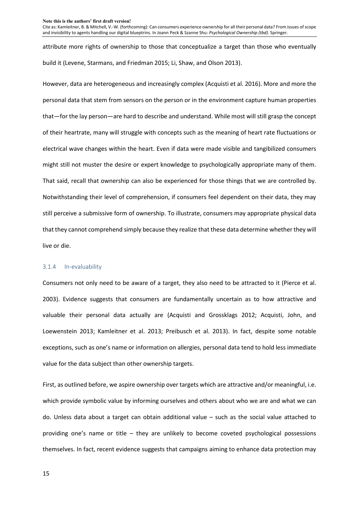Cite as: Kamleitner, B. & Mitchell, V.-W. (forthcoming): Can consumers experience ownership for all their personal data? From issues of scope and invisibility to agents handling our digital blueptrins. In Joann Peck & Szanne Shu: *Psychological Ownership (tbd)*. Springer.

attribute more rights of ownership to those that conceptualize a target than those who eventually build it (Levene, Starmans, and Friedman 2015; Li, Shaw, and Olson 2013).

However, data are heterogeneous and increasingly complex (Acquisti et al. 2016). More and more the personal data that stem from sensors on the person or in the environment capture human properties that—for the lay person—are hard to describe and understand. While most will still grasp the concept of their heartrate, many will struggle with concepts such as the meaning of heart rate fluctuations or electrical wave changes within the heart. Even if data were made visible and tangibilized consumers might still not muster the desire or expert knowledge to psychologically appropriate many of them. That said, recall that ownership can also be experienced for those things that we are controlled by. Notwithstanding their level of comprehension, if consumers feel dependent on their data, they may still perceive a submissive form of ownership. To illustrate, consumers may appropriate physical data that they cannot comprehend simply because they realize that these data determine whether they will live or die.

## 3.1.4 In-evaluability

Consumers not only need to be aware of a target, they also need to be attracted to it (Pierce et al. 2003). Evidence suggests that consumers are fundamentally uncertain as to how attractive and valuable their personal data actually are (Acquisti and Grossklags 2012; Acquisti, John, and Loewenstein 2013; Kamleitner et al. 2013; Preibusch et al. 2013). In fact, despite some notable exceptions, such as one's name or information on allergies, personal data tend to hold less immediate value for the data subject than other ownership targets.

First, as outlined before, we aspire ownership over targets which are attractive and/or meaningful, i.e. which provide symbolic value by informing ourselves and others about who we are and what we can do. Unless data about a target can obtain additional value – such as the social value attached to providing one's name or title – they are unlikely to become coveted psychological possessions themselves. In fact, recent evidence suggests that campaigns aiming to enhance data protection may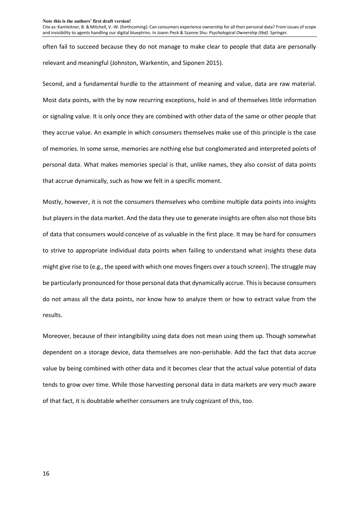often fail to succeed because they do not manage to make clear to people that data are personally relevant and meaningful (Johnston, Warkentin, and Siponen 2015).

Second, and a fundamental hurdle to the attainment of meaning and value, data are raw material. Most data points, with the by now recurring exceptions, hold in and of themselves little information or signaling value. It is only once they are combined with other data of the same or other people that they accrue value. An example in which consumers themselves make use of this principle is the case of memories. In some sense, memories are nothing else but conglomerated and interpreted points of personal data. What makes memories special is that, unlike names, they also consist of data points that accrue dynamically, such as how we felt in a specific moment.

Mostly, however, it is not the consumers themselves who combine multiple data points into insights but players in the data market. And the data they use to generate insights are often also not those bits of data that consumers would conceive of as valuable in the first place. It may be hard for consumers to strive to appropriate individual data points when failing to understand what insights these data might give rise to (e.g., the speed with which one moves fingers over a touch screen). The struggle may be particularly pronounced for those personal data that dynamically accrue. This is because consumers do not amass all the data points, nor know how to analyze them or how to extract value from the results.

Moreover, because of their intangibility using data does not mean using them up. Though somewhat dependent on a storage device, data themselves are non-perishable. Add the fact that data accrue value by being combined with other data and it becomes clear that the actual value potential of data tends to grow over time. While those harvesting personal data in data markets are very much aware of that fact, it is doubtable whether consumers are truly cognizant of this, too.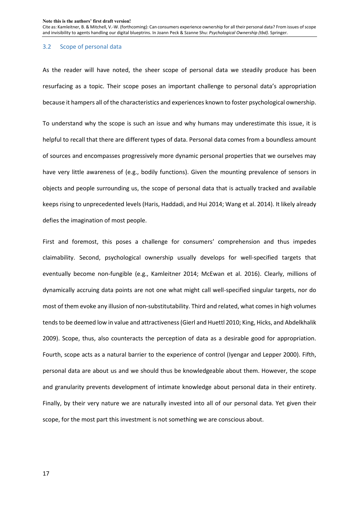Cite as: Kamleitner, B. & Mitchell, V.-W. (forthcoming): Can consumers experience ownership for all their personal data? From issues of scope and invisibility to agents handling our digital blueptrins. In Joann Peck & Szanne Shu: *Psychological Ownership (tbd)*. Springer.

### 3.2 Scope of personal data

As the reader will have noted, the sheer scope of personal data we steadily produce has been resurfacing as a topic. Their scope poses an important challenge to personal data's appropriation because it hampers all of the characteristics and experiences known to foster psychological ownership.

To understand why the scope is such an issue and why humans may underestimate this issue, it is helpful to recall that there are different types of data. Personal data comes from a boundless amount of sources and encompasses progressively more dynamic personal properties that we ourselves may have very little awareness of (e.g., bodily functions). Given the mounting prevalence of sensors in objects and people surrounding us, the scope of personal data that is actually tracked and available keeps rising to unprecedented levels (Haris, Haddadi, and Hui 2014; Wang et al. 2014). It likely already defies the imagination of most people.

First and foremost, this poses a challenge for consumers' comprehension and thus impedes claimability. Second, psychological ownership usually develops for well-specified targets that eventually become non-fungible (e.g., Kamleitner 2014; McEwan et al. 2016). Clearly, millions of dynamically accruing data points are not one what might call well-specified singular targets, nor do most of them evoke any illusion of non-substitutability. Third and related, what comes in high volumes tends to be deemed low in value and attractiveness(Gierl and Huettl 2010; King, Hicks, and Abdelkhalik 2009). Scope, thus, also counteracts the perception of data as a desirable good for appropriation. Fourth, scope acts as a natural barrier to the experience of control (Iyengar and Lepper 2000). Fifth, personal data are about us and we should thus be knowledgeable about them. However, the scope and granularity prevents development of intimate knowledge about personal data in their entirety. Finally, by their very nature we are naturally invested into all of our personal data. Yet given their scope, for the most part this investment is not something we are conscious about.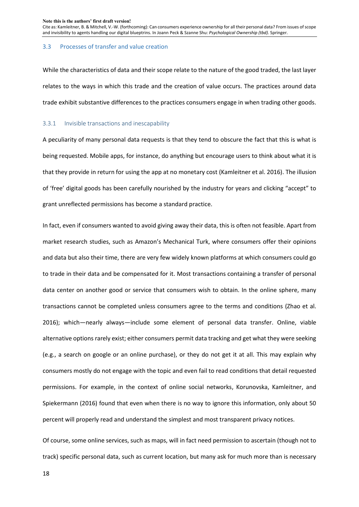### 3.3 Processes of transfer and value creation

While the characteristics of data and their scope relate to the nature of the good traded, the last layer relates to the ways in which this trade and the creation of value occurs. The practices around data trade exhibit substantive differences to the practices consumers engage in when trading other goods.

### 3.3.1 Invisible transactions and inescapability

A peculiarity of many personal data requests is that they tend to obscure the fact that this is what is being requested. Mobile apps, for instance, do anything but encourage users to think about what it is that they provide in return for using the app at no monetary cost (Kamleitner et al. 2016). The illusion of 'free' digital goods has been carefully nourished by the industry for years and clicking "accept" to grant unreflected permissions has become a standard practice.

In fact, even if consumers wanted to avoid giving away their data, this is often not feasible. Apart from market research studies, such as Amazon's Mechanical Turk, where consumers offer their opinions and data but also their time, there are very few widely known platforms at which consumers could go to trade in their data and be compensated for it. Most transactions containing a transfer of personal data center on another good or service that consumers wish to obtain. In the online sphere, many transactions cannot be completed unless consumers agree to the terms and conditions (Zhao et al. 2016); which—nearly always—include some element of personal data transfer. Online, viable alternative options rarely exist; either consumers permit data tracking and get what they were seeking (e.g., a search on google or an online purchase), or they do not get it at all. This may explain why consumers mostly do not engage with the topic and even fail to read conditions that detail requested permissions. For example, in the context of online social networks, Korunovska, Kamleitner, and Spiekermann (2016) found that even when there is no way to ignore this information, only about 50 percent will properly read and understand the simplest and most transparent privacy notices.

Of course, some online services, such as maps, will in fact need permission to ascertain (though not to track) specific personal data, such as current location, but many ask for much more than is necessary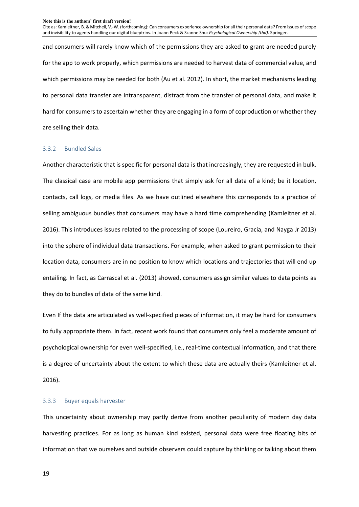Cite as: Kamleitner, B. & Mitchell, V.-W. (forthcoming): Can consumers experience ownership for all their personal data? From issues of scope and invisibility to agents handling our digital blueptrins. In Joann Peck & Szanne Shu: *Psychological Ownership (tbd)*. Springer.

and consumers will rarely know which of the permissions they are asked to grant are needed purely for the app to work properly, which permissions are needed to harvest data of commercial value, and which permissions may be needed for both (Au et al. 2012). In short, the market mechanisms leading to personal data transfer are intransparent, distract from the transfer of personal data, and make it hard for consumers to ascertain whether they are engaging in a form of coproduction or whether they are selling their data.

## 3.3.2 Bundled Sales

Another characteristic that is specific for personal data is that increasingly, they are requested in bulk. The classical case are mobile app permissions that simply ask for all data of a kind; be it location, contacts, call logs, or media files. As we have outlined elsewhere this corresponds to a practice of selling ambiguous bundles that consumers may have a hard time comprehending (Kamleitner et al. 2016). This introduces issues related to the processing of scope (Loureiro, Gracia, and Nayga Jr 2013) into the sphere of individual data transactions. For example, when asked to grant permission to their location data, consumers are in no position to know which locations and trajectories that will end up entailing. In fact, as Carrascal et al. (2013) showed, consumers assign similar values to data points as they do to bundles of data of the same kind.

Even If the data are articulated as well-specified pieces of information, it may be hard for consumers to fully appropriate them. In fact, recent work found that consumers only feel a moderate amount of psychological ownership for even well-specified, i.e., real-time contextual information, and that there is a degree of uncertainty about the extent to which these data are actually theirs (Kamleitner et al. 2016).

# 3.3.3 Buyer equals harvester

This uncertainty about ownership may partly derive from another peculiarity of modern day data harvesting practices. For as long as human kind existed, personal data were free floating bits of information that we ourselves and outside observers could capture by thinking or talking about them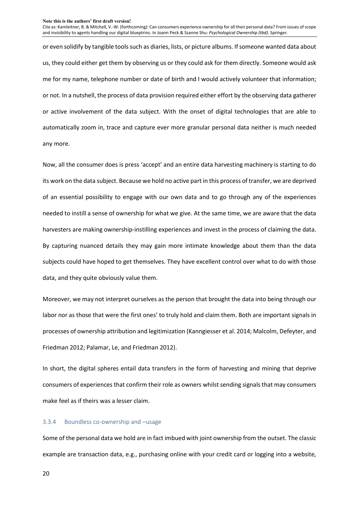Cite as: Kamleitner, B. & Mitchell, V.-W. (forthcoming): Can consumers experience ownership for all their personal data? From issues of scope and invisibility to agents handling our digital blueptrins. In Joann Peck & Szanne Shu: *Psychological Ownership (tbd)*. Springer.

or even solidify by tangible tools such as diaries, lists, or picture albums. If someone wanted data about us, they could either get them by observing us or they could ask for them directly. Someone would ask me for my name, telephone number or date of birth and I would actively volunteer that information; or not. In a nutshell, the process of data provision required either effort by the observing data gatherer or active involvement of the data subject. With the onset of digital technologies that are able to automatically zoom in, trace and capture ever more granular personal data neither is much needed any more.

Now, all the consumer does is press 'accept' and an entire data harvesting machinery is starting to do its work on the data subject. Because we hold no active part in this process of transfer, we are deprived of an essential possibility to engage with our own data and to go through any of the experiences needed to instill a sense of ownership for what we give. At the same time, we are aware that the data harvesters are making ownership-instilling experiences and invest in the process of claiming the data. By capturing nuanced details they may gain more intimate knowledge about them than the data subjects could have hoped to get themselves. They have excellent control over what to do with those data, and they quite obviously value them.

Moreover, we may not interpret ourselves as the person that brought the data into being through our labor nor as those that were the first ones' to truly hold and claim them. Both are important signals in processes of ownership attribution and legitimization (Kanngiesser et al. 2014; Malcolm, Defeyter, and Friedman 2012; Palamar, Le, and Friedman 2012).

In short, the digital spheres entail data transfers in the form of harvesting and mining that deprive consumers of experiences that confirm their role as owners whilst sending signals that may consumers make feel as if theirs was a lesser claim.

## 3.3.4 Boundless co-ownership and –usage

Some of the personal data we hold are in fact imbued with joint ownership from the outset. The classic example are transaction data, e.g., purchasing online with your credit card or logging into a website,

20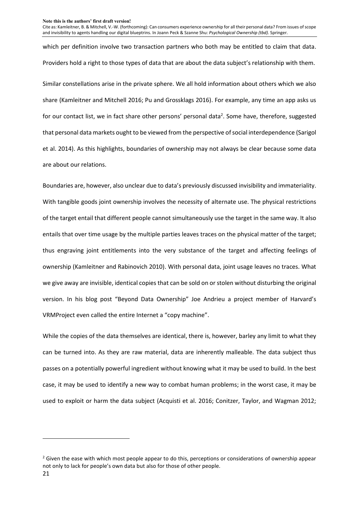Cite as: Kamleitner, B. & Mitchell, V.-W. (forthcoming): Can consumers experience ownership for all their personal data? From issues of scope and invisibility to agents handling our digital blueptrins. In Joann Peck & Szanne Shu: *Psychological Ownership (tbd)*. Springer.

which per definition involve two transaction partners who both may be entitled to claim that data. Providers hold a right to those types of data that are about the data subject's relationship with them.

Similar constellations arise in the private sphere. We all hold information about others which we also share (Kamleitner and Mitchell 2016; Pu and Grossklags 2016). For example, any time an app asks us for our contact list, we in fact share other persons' personal data<sup>2</sup>. Some have, therefore, suggested that personal data markets ought to be viewed from the perspective of social interdependence (Sarigol et al. 2014). As this highlights, boundaries of ownership may not always be clear because some data are about our relations.

Boundaries are, however, also unclear due to data's previously discussed invisibility and immateriality. With tangible goods joint ownership involves the necessity of alternate use. The physical restrictions of the target entail that different people cannot simultaneously use the target in the same way. It also entails that over time usage by the multiple parties leaves traces on the physical matter of the target; thus engraving joint entitlements into the very substance of the target and affecting feelings of ownership (Kamleitner and Rabinovich 2010). With personal data, joint usage leaves no traces. What we give away are invisible, identical copies that can be sold on or stolen without disturbing the original version. In his blog post "Beyond Data Ownership" Joe Andrieu a project member of Harvard's VRMProject even called the entire Internet a "copy machine".

While the copies of the data themselves are identical, there is, however, barley any limit to what they can be turned into. As they are raw material, data are inherently malleable. The data subject thus passes on a potentially powerful ingredient without knowing what it may be used to build. In the best case, it may be used to identify a new way to combat human problems; in the worst case, it may be used to exploit or harm the data subject (Acquisti et al. 2016; Conitzer, Taylor, and Wagman 2012;

**.** 

<sup>&</sup>lt;sup>2</sup> Given the ease with which most people appear to do this, perceptions or considerations of ownership appear not only to lack for people's own data but also for those of other people.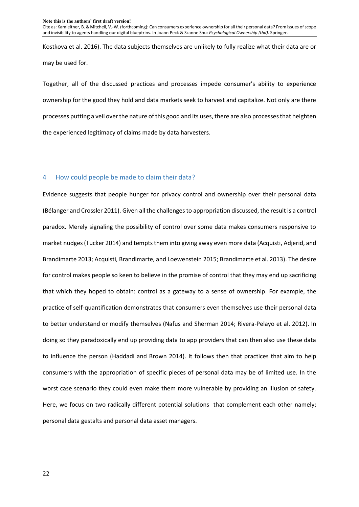Kostkova et al. 2016). The data subjects themselves are unlikely to fully realize what their data are or may be used for.

Together, all of the discussed practices and processes impede consumer's ability to experience ownership for the good they hold and data markets seek to harvest and capitalize. Not only are there processes putting a veil over the nature of this good and its uses, there are also processes that heighten the experienced legitimacy of claims made by data harvesters.

## 4 How could people be made to claim their data?

Evidence suggests that people hunger for privacy control and ownership over their personal data (Bélanger and Crossler 2011). Given all the challenges to appropriation discussed, the result is a control paradox. Merely signaling the possibility of control over some data makes consumers responsive to market nudges(Tucker 2014) and tempts them into giving away even more data (Acquisti, Adjerid, and Brandimarte 2013; Acquisti, Brandimarte, and Loewenstein 2015; Brandimarte et al. 2013). The desire for control makes people so keen to believe in the promise of control that they may end up sacrificing that which they hoped to obtain: control as a gateway to a sense of ownership. For example, the practice of self-quantification demonstrates that consumers even themselves use their personal data to better understand or modify themselves (Nafus and Sherman 2014; Rivera-Pelayo et al. 2012). In doing so they paradoxically end up providing data to app providers that can then also use these data to influence the person (Haddadi and Brown 2014). It follows then that practices that aim to help consumers with the appropriation of specific pieces of personal data may be of limited use. In the worst case scenario they could even make them more vulnerable by providing an illusion of safety. Here, we focus on two radically different potential solutions that complement each other namely; personal data gestalts and personal data asset managers.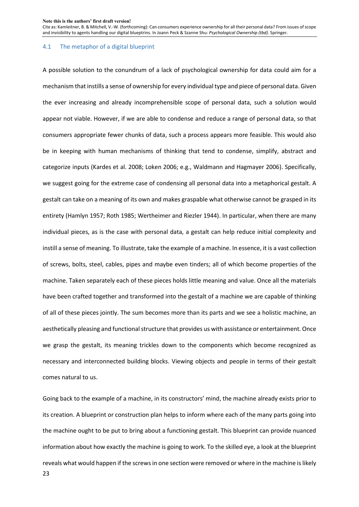Cite as: Kamleitner, B. & Mitchell, V.-W. (forthcoming): Can consumers experience ownership for all their personal data? From issues of scope and invisibility to agents handling our digital blueptrins. In Joann Peck & Szanne Shu: *Psychological Ownership (tbd)*. Springer.

### 4.1 The metaphor of a digital blueprint

A possible solution to the conundrum of a lack of psychological ownership for data could aim for a mechanism that instills a sense of ownership for every individual type and piece of personal data. Given the ever increasing and already incomprehensible scope of personal data, such a solution would appear not viable. However, if we are able to condense and reduce a range of personal data, so that consumers appropriate fewer chunks of data, such a process appears more feasible. This would also be in keeping with human mechanisms of thinking that tend to condense, simplify, abstract and categorize inputs (Kardes et al. 2008; Loken 2006; e.g., Waldmann and Hagmayer 2006). Specifically, we suggest going for the extreme case of condensing all personal data into a metaphorical gestalt. A gestalt can take on a meaning of its own and makes graspable what otherwise cannot be grasped in its entirety (Hamlyn 1957; Roth 1985; Wertheimer and Riezler 1944). In particular, when there are many individual pieces, as is the case with personal data, a gestalt can help reduce initial complexity and instill a sense of meaning. To illustrate, take the example of a machine. In essence, it is a vast collection of screws, bolts, steel, cables, pipes and maybe even tinders; all of which become properties of the machine. Taken separately each of these pieces holds little meaning and value. Once all the materials have been crafted together and transformed into the gestalt of a machine we are capable of thinking of all of these pieces jointly. The sum becomes more than its parts and we see a holistic machine, an aesthetically pleasing and functional structure that provides us with assistance or entertainment. Once we grasp the gestalt, its meaning trickles down to the components which become recognized as necessary and interconnected building blocks. Viewing objects and people in terms of their gestalt comes natural to us.

23 Going back to the example of a machine, in its constructors' mind, the machine already exists prior to its creation. A blueprint or construction plan helps to inform where each of the many parts going into the machine ought to be put to bring about a functioning gestalt. This blueprint can provide nuanced information about how exactly the machine is going to work. To the skilled eye, a look at the blueprint reveals what would happen if the screws in one section were removed or where in the machine is likely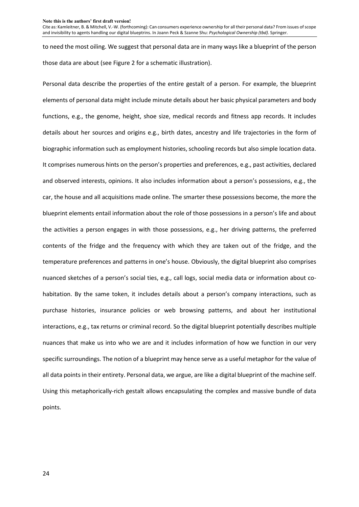to need the most oiling. We suggest that personal data are in many ways like a blueprint of the person those data are about (see Figure 2 for a schematic illustration).

Personal data describe the properties of the entire gestalt of a person. For example, the blueprint elements of personal data might include minute details about her basic physical parameters and body functions, e.g., the genome, height, shoe size, medical records and fitness app records. It includes details about her sources and origins e.g., birth dates, ancestry and life trajectories in the form of biographic information such as employment histories, schooling records but also simple location data. It comprises numerous hints on the person's properties and preferences, e.g., past activities, declared and observed interests, opinions. It also includes information about a person's possessions, e.g., the car, the house and all acquisitions made online. The smarter these possessions become, the more the blueprint elements entail information about the role of those possessions in a person's life and about the activities a person engages in with those possessions, e.g., her driving patterns, the preferred contents of the fridge and the frequency with which they are taken out of the fridge, and the temperature preferences and patterns in one's house. Obviously, the digital blueprint also comprises nuanced sketches of a person's social ties, e.g., call logs, social media data or information about cohabitation. By the same token, it includes details about a person's company interactions, such as purchase histories, insurance policies or web browsing patterns, and about her institutional interactions, e.g., tax returns or criminal record. So the digital blueprint potentially describes multiple nuances that make us into who we are and it includes information of how we function in our very specific surroundings. The notion of a blueprint may hence serve as a useful metaphor for the value of all data points in their entirety. Personal data, we argue, are like a digital blueprint of the machine self. Using this metaphorically-rich gestalt allows encapsulating the complex and massive bundle of data points.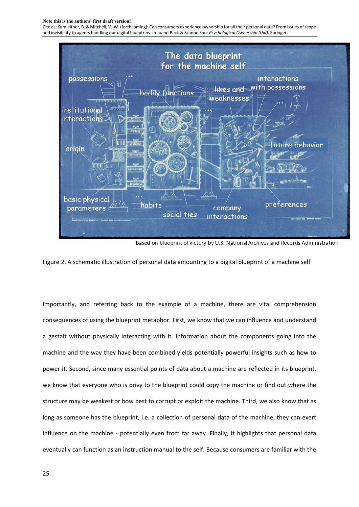Cite as: Kamleitner, B. & Mitchell, V.-W. (forthcoming): Can consumers experience ownership for all their personal data? From issues of scope and invisibility to agents handling our digital blueptrins. In Joann Peck & Szanne Shu: *Psychological Ownership (tbd)*. Springer.



Based on blueprint of victory by U.S. National Archives and Records Administration

Figure 2. A schematic illustration of personal data amounting to a digital blueprint of a machine self

Importantly, and referring back to the example of a machine, there are vital comprehension consequences of using the blueprint metaphor. First, we know that we can influence and understand a gestalt without physically interacting with it. Information about the components going into the machine and the way they have been combined yields potentially powerful insights such as how to power it. Second, since many essential points of data about a machine are reflected in its blueprint, we know that everyone who is privy to the blueprint could copy the machine or find out where the structure may be weakest or how best to corrupt or exploit the machine. Third, we also know that as long as someone has the blueprint, i.e. a collection of personal data of the machine, they can exert influence on the machine - potentially even from far away. Finally, it highlights that personal data eventually can function as an instruction manual to the self. Because consumers are familiar with the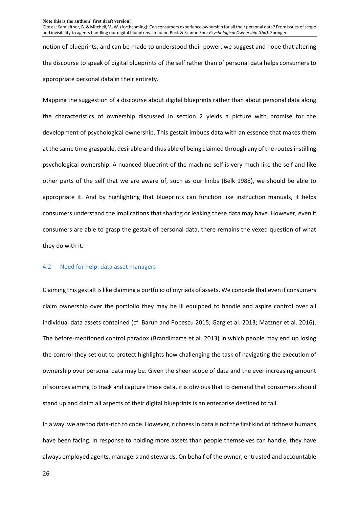Cite as: Kamleitner, B. & Mitchell, V.-W. (forthcoming): Can consumers experience ownership for all their personal data? From issues of scope and invisibility to agents handling our digital blueptrins. In Joann Peck & Szanne Shu: *Psychological Ownership (tbd)*. Springer.

notion of blueprints, and can be made to understood their power, we suggest and hope that altering the discourse to speak of digital blueprints of the self rather than of personal data helps consumers to appropriate personal data in their entirety.

Mapping the suggestion of a discourse about digital blueprints rather than about personal data along the characteristics of ownership discussed in section 2 yields a picture with promise for the development of psychological ownership. This gestalt imbues data with an essence that makes them at the same time graspable, desirable and thus able of being claimed through any of the routes instilling psychological ownership. A nuanced blueprint of the machine self is very much like the self and like other parts of the self that we are aware of, such as our limbs (Belk 1988), we should be able to appropriate it. And by highlighting that blueprints can function like instruction manuals, it helps consumers understand the implications that sharing or leaking these data may have. However, even if consumers are able to grasp the gestalt of personal data, there remains the vexed question of what they do with it.

## 4.2 Need for help: data asset managers

Claiming this gestalt is like claiming a portfolio of myriads of assets. We concede that even if consumers claim ownership over the portfolio they may be ill equipped to handle and aspire control over all individual data assets contained (cf. Baruh and Popescu 2015; Garg et al. 2013; Matzner et al. 2016). The before-mentioned control paradox (Brandimarte et al. 2013) in which people may end up losing the control they set out to protect highlights how challenging the task of navigating the execution of ownership over personal data may be. Given the sheer scope of data and the ever increasing amount of sources aiming to track and capture these data, it is obvious that to demand that consumers should stand up and claim all aspects of their digital blueprints is an enterprise destined to fail.

In a way, we are too data-rich to cope. However, richness in data is not the first kind of richness humans have been facing. In response to holding more assets than people themselves can handle, they have always employed agents, managers and stewards. On behalf of the owner, entrusted and accountable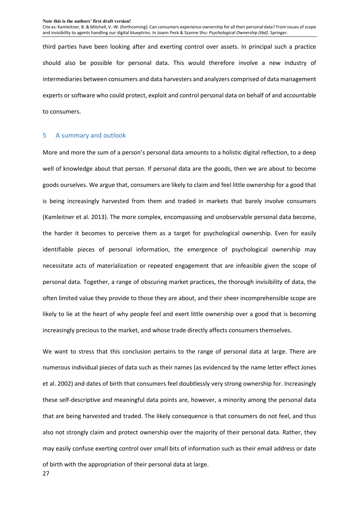third parties have been looking after and exerting control over assets. In principal such a practice should also be possible for personal data. This would therefore involve a new industry of intermediaries between consumers and data harvesters and analyzers comprised of data management experts or software who could protect, exploit and control personal data on behalf of and accountable to consumers.

# 5 A summary and outlook

More and more the sum of a person's personal data amounts to a holistic digital reflection, to a deep well of knowledge about that person. If personal data are the goods, then we are about to become goods ourselves. We argue that, consumers are likely to claim and feel little ownership for a good that is being increasingly harvested from them and traded in markets that barely involve consumers (Kamleitner et al. 2013). The more complex, encompassing and unobservable personal data become, the harder it becomes to perceive them as a target for psychological ownership. Even for easily identifiable pieces of personal information, the emergence of psychological ownership may necessitate acts of materialization or repeated engagement that are infeasible given the scope of personal data. Together, a range of obscuring market practices, the thorough invisibility of data, the often limited value they provide to those they are about, and their sheer incomprehensible scope are likely to lie at the heart of why people feel and exert little ownership over a good that is becoming increasingly precious to the market, and whose trade directly affects consumers themselves.

We want to stress that this conclusion pertains to the range of personal data at large. There are numerous individual pieces of data such as their names (as evidenced by the name letter effect Jones et al. 2002) and dates of birth that consumers feel doubtlessly very strong ownership for. Increasingly these self-descriptive and meaningful data points are, however, a minority among the personal data that are being harvested and traded. The likely consequence is that consumers do not feel, and thus also not strongly claim and protect ownership over the majority of their personal data. Rather, they may easily confuse exerting control over small bits of information such as their email address or date of birth with the appropriation of their personal data at large.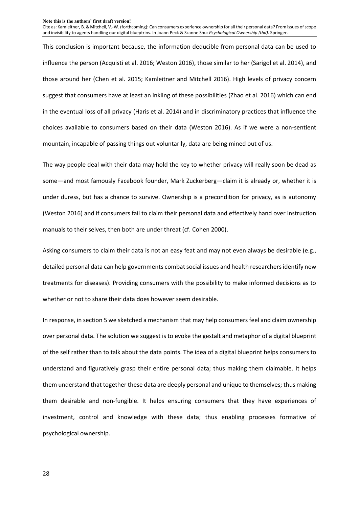Cite as: Kamleitner, B. & Mitchell, V.-W. (forthcoming): Can consumers experience ownership for all their personal data? From issues of scope and invisibility to agents handling our digital blueptrins. In Joann Peck & Szanne Shu: *Psychological Ownership (tbd)*. Springer.

This conclusion is important because, the information deducible from personal data can be used to influence the person (Acquisti et al. 2016; Weston 2016), those similar to her (Sarigol et al. 2014), and those around her (Chen et al. 2015; Kamleitner and Mitchell 2016). High levels of privacy concern suggest that consumers have at least an inkling of these possibilities (Zhao et al. 2016) which can end in the eventual loss of all privacy (Haris et al. 2014) and in discriminatory practices that influence the choices available to consumers based on their data (Weston 2016). As if we were a non-sentient mountain, incapable of passing things out voluntarily, data are being mined out of us.

The way people deal with their data may hold the key to whether privacy will really soon be dead as some—and most famously Facebook founder, Mark Zuckerberg—claim it is already or, whether it is under duress, but has a chance to survive. Ownership is a precondition for privacy, as is autonomy (Weston 2016) and if consumers fail to claim their personal data and effectively hand over instruction manuals to their selves, then both are under threat (cf. Cohen 2000).

Asking consumers to claim their data is not an easy feat and may not even always be desirable (e.g., detailed personal data can help governments combat social issues and health researchers identify new treatments for diseases). Providing consumers with the possibility to make informed decisions as to whether or not to share their data does however seem desirable.

In response, in section 5 we sketched a mechanism that may help consumers feel and claim ownership over personal data. The solution we suggest is to evoke the gestalt and metaphor of a digital blueprint of the self rather than to talk about the data points. The idea of a digital blueprint helps consumers to understand and figuratively grasp their entire personal data; thus making them claimable. It helps them understand that together these data are deeply personal and unique to themselves; thus making them desirable and non-fungible. It helps ensuring consumers that they have experiences of investment, control and knowledge with these data; thus enabling processes formative of psychological ownership.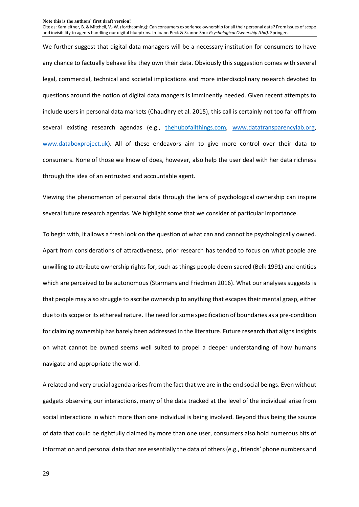Cite as: Kamleitner, B. & Mitchell, V.-W. (forthcoming): Can consumers experience ownership for all their personal data? From issues of scope and invisibility to agents handling our digital blueptrins. In Joann Peck & Szanne Shu: *Psychological Ownership (tbd)*. Springer.

We further suggest that digital data managers will be a necessary institution for consumers to have any chance to factually behave like they own their data. Obviously this suggestion comes with several legal, commercial, technical and societal implications and more interdisciplinary research devoted to questions around the notion of digital data mangers is imminently needed. Given recent attempts to include users in personal data markets (Chaudhry et al. 2015), this call is certainly not too far off from several existing research agendas (e.g., thehubofallthings.com, [www.datatransparencylab.org,](http://www.datatransparencylab.org/) [www.databoxproject.uk\)](http://www.databoxproject.uk/). All of these endeavors aim to give more control over their data to consumers. None of those we know of does, however, also help the user deal with her data richness through the idea of an entrusted and accountable agent.

Viewing the phenomenon of personal data through the lens of psychological ownership can inspire several future research agendas. We highlight some that we consider of particular importance.

To begin with, it allows a fresh look on the question of what can and cannot be psychologically owned. Apart from considerations of attractiveness, prior research has tended to focus on what people are unwilling to attribute ownership rights for, such as things people deem sacred (Belk 1991) and entities which are perceived to be autonomous (Starmans and Friedman 2016). What our analyses suggests is that people may also struggle to ascribe ownership to anything that escapes their mental grasp, either due to its scope or its ethereal nature. The need for some specification of boundaries as a pre-condition for claiming ownership has barely been addressed in the literature. Future research that aligns insights on what cannot be owned seems well suited to propel a deeper understanding of how humans navigate and appropriate the world.

A related and very crucial agenda arises from the fact that we are in the end social beings. Even without gadgets observing our interactions, many of the data tracked at the level of the individual arise from social interactions in which more than one individual is being involved. Beyond thus being the source of data that could be rightfully claimed by more than one user, consumers also hold numerous bits of information and personal data that are essentially the data of others (e.g., friends' phone numbers and

29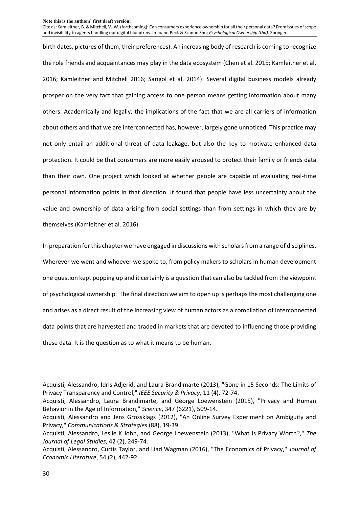Cite as: Kamleitner, B. & Mitchell, V.-W. (forthcoming): Can consumers experience ownership for all their personal data? From issues of scope and invisibility to agents handling our digital blueptrins. In Joann Peck & Szanne Shu: *Psychological Ownership (tbd)*. Springer.

birth dates, pictures of them, their preferences). An increasing body of research is coming to recognize the role friends and acquaintances may play in the data ecosystem (Chen et al. 2015; Kamleitner et al. 2016; Kamleitner and Mitchell 2016; Sarigol et al. 2014). Several digital business models already prosper on the very fact that gaining access to one person means getting information about many others. Academically and legally, the implications of the fact that we are all carriers of information about others and that we are interconnected has, however, largely gone unnoticed. This practice may not only entail an additional threat of data leakage, but also the key to motivate enhanced data protection. It could be that consumers are more easily aroused to protect their family or friends data than their own. One project which looked at whether people are capable of evaluating real-time personal information points in that direction. It found that people have less uncertainty about the value and ownership of data arising from social settings than from settings in which they are by themselves (Kamleitner et al. 2016).

In preparation for this chapter we have engaged in discussions with scholars from a range of disciplines. Wherever we went and whoever we spoke to, from policy makers to scholars in human development one question kept popping up and it certainly is a question that can also be tackled from the viewpoint of psychological ownership. The final direction we aim to open up is perhaps the most challenging one and arises as a direct result of the increasing view of human actors as a compilation of interconnected data points that are harvested and traded in markets that are devoted to influencing those providing these data. It is the question as to what it means to be human.

Acquisti, Alessandro, Curtis Taylor, and Liad Wagman (2016), "The Economics of Privacy," *Journal of Economic Literature*, 54 (2), 442-92.

Acquisti, Alessandro, Idris Adjerid, and Laura Brandimarte (2013), "Gone in 15 Seconds: The Limits of Privacy Transparency and Control," *IEEE Security & Privacy*, 11 (4), 72-74.

Acquisti, Alessandro, Laura Brandimarte, and George Loewenstein (2015), "Privacy and Human Behavior in the Age of Information," *Science*, 347 (6221), 509-14.

Acquisti, Alessandro and Jens Grossklags (2012), "An Online Survey Experiment on Ambiguity and Privacy," *Communications & Strategies* (88), 19-39.

Acquisti, Alessandro, Leslie K John, and George Loewenstein (2013), "What Is Privacy Worth?," *The Journal of Legal Studies*, 42 (2), 249-74.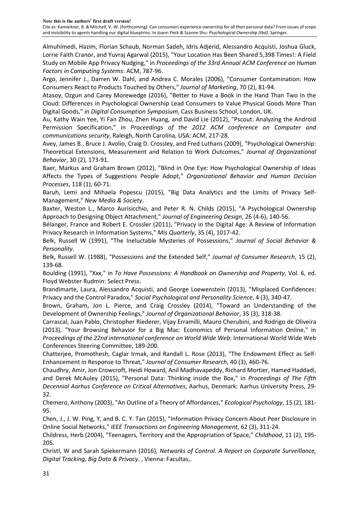Almuhimedi, Hazim, Florian Schaub, Norman Sadeh, Idris Adjerid, Alessandro Acquisti, Joshua Gluck, Lorrie Faith Cranor, and Yuvraj Agarwal (2015), "Your Location Has Been Shared 5,398 Times!: A Field Study on Mobile App Privacy Nudging," in *Proceedings of the 33rd Annual ACM Conference on Human Factors in Computing Systems*: ACM, 787-96.

Argo, Jennifer J., Darren W. Dahl, and Andrea C. Morales (2006), "Consumer Contamination: How Consumers React to Products Touched by Others," *Journal of Marketing*, 70 (2), 81-94.

Atasoy, Ozgun and Carey Morewedge (2016), "Better to Have a Book in the Hand Than Two in the Cloud: Differences in Psychological Ownership Lead Consumers to Value Physical Goods More Than Digital Goods," in *Digital Consumption Symposium*, Cass Business School, London, UK.

Au, Kathy Wain Yee, Yi Fan Zhou, Zhen Huang, and David Lie (2012), "Pscout: Analyzing the Android Permission Specification," in *Proceedings of the 2012 ACM conference on Computer and communications security*, Raleigh, North Carolina, USA: ACM, 217-28.

Avey, James B., Bruce J. Avolio, Craig D. Crossley, and Fred Luthans (2009), "Psychological Ownership: Theoretical Extensions, Measurement and Relation to Work Outcomes," *Journal of Organizational Behavior*, 30 (2), 173-91.

Baer, Markus and Graham Brown (2012), "Blind in One Eye: How Psychological Ownership of Ideas Affects the Types of Suggestions People Adopt," *Organizational Behavior and Human Decision Processes*, 118 (1), 60-71.

Baruh, Lemi and Mihaela Popescu (2015), "Big Data Analytics and the Limits of Privacy Self-Management," *New Media & Society*.

Baxter, Weston L., Marco Aurisicchio, and Peter R. N. Childs (2015), "A Psychological Ownership Approach to Designing Object Attachment," *Journal of Engineering Design*, 26 (4-6), 140-56.

Bélanger, France and Robert E. Crossler (2011), "Privacy in the Digital Age: A Review of Information Privacy Research in Information Systems," *Mis Quarterly*, 35 (4), 1017-42.

Belk, Russell W (1991), "The Ineluctable Mysteries of Possessions," *Journal of Social Behavior & Personality*.

Belk, Russell W. (1988), "Possessions and the Extended Self," *Journal of Consumer Research*, 15 (2), 139-68.

Boulding (1991), "Xxx," in *To Have Possessions: A Handbook on Ownership and Property*, Vol. 6, ed. Floyd Webster Rudmin: Select Press.

Brandimarte, Laura, Alessandro Acquisti, and George Loewenstein (2013), "Misplaced Confidences: Privacy and the Control Paradox," *Social Psychological and Personality Science*, 4 (3), 340-47.

Brown, Graham, Jon L. Pierce, and Craig Crossley (2014), "Toward an Understanding of the Development of Ownership Feelings," *Journal of Organizational Behavior*, 35 (3), 318-38.

Carrascal, Juan Pablo, Christopher Riederer, Vijay Erramilli, Mauro Cherubini, and Rodrigo de Oliveira (2013), "Your Browsing Behavior for a Big Mac: Economics of Personal Information Online," in *Proceedings of the 22nd international conference on World Wide Web*: International World Wide Web Conferences Steering Committee, 189-200.

Chatterjee, Promothesh, Caglar Irmak, and Randall L. Rose (2013), "The Endowment Effect as Self-Enhancement in Response to Threat," *Journal of Consumer Research*, 40 (3), 460-76.

Chaudhry, Amir, Jon Crowcroft, Heidi Howard, Anil Madhavapeddy, Richard Mortier, Hamed Haddadi, and Derek McAuley (2015), "Personal Data: Thinking inside the Box," in *Proceedings of The Fifth Decennial Aarhus Conference on Critical Alternatives*, Aarhus, Denmark: Aarhus University Press, 29- 32.

Chemero, Anthony (2003), "An Outline of a Theory of Affordances," *Ecological Psychology*, 15 (2), 181- 95.

Chen, J., J. W. Ping, Y, and B. C. Y. Tan (2015), "Information Privacy Concern About Peer Disclosure in Online Social Networks," *IEEE Transactions on Engineering Management*, 62 (3), 311-24.

Childress, Herb (2004), "Teenagers, Territory and the Appropriation of Space," *Childhood*, 11 (2), 195- 205.

Christl, W and Sarah Spiekermann (2016), *Networks of Control. A Report on Corporate Surveillance, Digital Tracking, Big Data & Privacy.* , Vienna: Facultas,.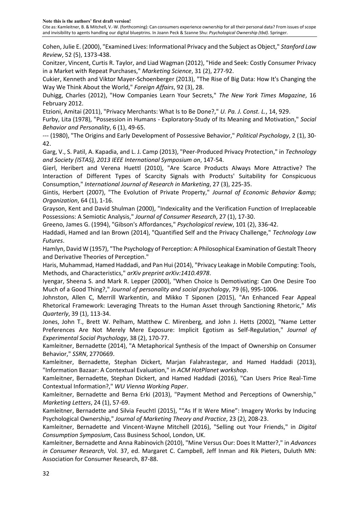Cohen, Julie E. (2000), "Examined Lives: Informational Privacy and the Subject as Object," *Stanford Law Review*, 52 (5), 1373-438.

Conitzer, Vincent, Curtis R. Taylor, and Liad Wagman (2012), "Hide and Seek: Costly Consumer Privacy in a Market with Repeat Purchases," *Marketing Science*, 31 (2), 277-92.

Cukier, Kenneth and Viktor Mayer-Schoenberger (2013), "The Rise of Big Data: How It's Changing the Way We Think About the World," *Foreign Affairs*, 92 (3), 28.

Duhigg, Charles (2012), "How Companies Learn Your Secrets," *The New York Times Magazine*, 16 February 2012.

Etzioni, Amitai (2011), "Privacy Merchants: What Is to Be Done?," *U. Pa. J. Const. L.*, 14, 929.

Furby, Lita (1978), "Possession in Humans - Exploratory-Study of Its Meaning and Motivation," *Social Behavior and Personality*, 6 (1), 49-65.

--- (1980), "The Origins and Early Development of Possessive Behavior," *Political Psychology*, 2 (1), 30- 42.

Garg, V., S. Patil, A. Kapadia, and L. J. Camp (2013), "Peer-Produced Privacy Protection," in *Technology and Society (ISTAS), 2013 IEEE International Symposium on*, 147-54.

Gierl, Heribert and Verena Huettl (2010), "Are Scarce Products Always More Attractive? The Interaction of Different Types of Scarcity Signals with Products' Suitability for Conspicuous Consumption," *International Journal of Research in Marketing*, 27 (3), 225-35.

Gintis, Herbert (2007), "The Evolution of Private Property," *Journal of Economic Behavior & Organization*, 64 (1), 1-16.

Grayson, Kent and David Shulman (2000), "Indexicality and the Verification Function of Irreplaceable Possessions: A Semiotic Analysis," *Journal of Consumer Research*, 27 (1), 17-30.

Greeno, James G. (1994), "Gibson's Affordances," *Psychological review*, 101 (2), 336-42.

Haddadi, Hamed and Ian Brown (2014), "Quantified Self and the Privacy Challenge," *Technology Law Futures*.

Hamlyn, David W (1957), "The Psychology of Perception: A Philosophical Examination of Gestalt Theory and Derivative Theories of Perception."

Haris, Muhammad, Hamed Haddadi, and Pan Hui (2014), "Privacy Leakage in Mobile Computing: Tools, Methods, and Characteristics," *arXiv preprint arXiv:1410.4978*.

Iyengar, Sheena S. and Mark R. Lepper (2000), "When Choice Is Demotivating: Can One Desire Too Much of a Good Thing?," *Journal of personality and social psychology*, 79 (6), 995-1006.

Johnston, Allen C, Merrill Warkentin, and Mikko T Siponen (2015), "An Enhanced Fear Appeal Rhetorical Framework: Leveraging Threats to the Human Asset through Sanctioning Rhetoric," *Mis Quarterly*, 39 (1), 113-34.

Jones, John T., Brett W. Pelham, Matthew C. Mirenberg, and John J. Hetts (2002), "Name Letter Preferences Are Not Merely Mere Exposure: Implicit Egotism as Self-Regulation," *Journal of Experimental Social Psychology*, 38 (2), 170-77.

Kamleitner, Bernadette (2014), "A Metaphorical Synthesis of the Impact of Ownership on Consumer Behavior," *SSRN*, 2770669.

Kamleitner, Bernadette, Stephan Dickert, Marjan Falahrastegar, and Hamed Haddadi (2013), "Information Bazaar: A Contextual Evaluation," in *ACM HotPlanet workshop*.

Kamleitner, Bernadette, Stephan Dickert, and Hamed Haddadi (2016), "Can Users Price Real-Time Contextual Information?," *WU Vienna Working Paper*.

Kamleitner, Bernadette and Berna Erki (2013), "Payment Method and Perceptions of Ownership," *Marketing Letters*, 24 (1), 57-69.

Kamleitner, Bernadette and Silvia Feuchtl (2015), ""As If It Were Mine": Imagery Works by Inducing Psychological Ownership," *Journal of Marketing Theory and Practice*, 23 (2), 208-23.

Kamleitner, Bernadette and Vincent-Wayne Mitchell (2016), "Selling out Your Friends," in *Digital Consumption Symposium*, Cass Business School, London, UK.

Kamleitner, Bernadette and Anna Rabinovich (2010), "Mine Versus Our: Does It Matter?," in *Advances in Consumer Research*, Vol. 37, ed. Margaret C. Campbell, Jeff Inman and Rik Pieters, Duluth MN: Association for Consumer Research, 87-88.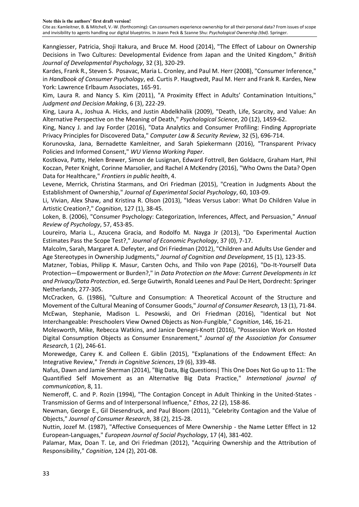Cite as: Kamleitner, B. & Mitchell, V.-W. (forthcoming): Can consumers experience ownership for all their personal data? From issues of scope and invisibility to agents handling our digital blueptrins. In Joann Peck & Szanne Shu: *Psychological Ownership (tbd)*. Springer.

Kanngiesser, Patricia, Shoji Itakura, and Bruce M. Hood (2014), "The Effect of Labour on Ownership Decisions in Two Cultures: Developmental Evidence from Japan and the United Kingdom," *British Journal of Developmental Psychology*, 32 (3), 320-29.

Kardes, Frank R., Steven S. Posavac, Maria L. Cronley, and Paul M. Herr (2008), "Consumer Inference," in *Handbook of Consumer Psychology*, ed. Curtis P. Haugtvedt, Paul M. Herr and Frank R. Kardes, New York: Lawrence Erlbaum Associates, 165-91.

Kim, Laura R. and Nancy S. Kim (2011), "A Proximity Effect in Adults' Contamination Intuitions," *Judgment and Decision Making*, 6 (3), 222-29.

King, Laura A., Joshua A. Hicks, and Justin Abdelkhalik (2009), "Death, Life, Scarcity, and Value: An Alternative Perspective on the Meaning of Death," *Psychological Science*, 20 (12), 1459-62.

King, Nancy J. and Jay Forder (2016), "Data Analytics and Consumer Profiling: Finding Appropriate Privacy Principles for Discovered Data," *Computer Law & Security Review*, 32 (5), 696-714.

Korunovska, Jana, Bernadette Kamleitner, and Sarah Spiekermann (2016), "Transparent Privacy Policies and Informed Consent," *WU Vienna Working Paper*.

Kostkova, Patty, Helen Brewer, Simon de Lusignan, Edward Fottrell, Ben Goldacre, Graham Hart, Phil Koczan, Peter Knight, Corinne Marsolier, and Rachel A McKendry (2016), "Who Owns the Data? Open Data for Healthcare," *Frontiers in public health*, 4.

Levene, Merrick, Christina Starmans, and Ori Friedman (2015), "Creation in Judgments About the Establishment of Ownership," *Journal of Experimental Social Psychology*, 60, 103-09.

Li, Vivian, Alex Shaw, and Kristina R. Olson (2013), "Ideas Versus Labor: What Do Children Value in Artistic Creation?," *Cognition*, 127 (1), 38-45.

Loken, B. (2006), "Consumer Psychology: Categorization, Inferences, Affect, and Persuasion," *Annual Review of Psychology*, 57, 453-85.

Loureiro, Maria L., Azucena Gracia, and Rodolfo M. Nayga Jr (2013), "Do Experimental Auction Estimates Pass the Scope Test?," *Journal of Economic Psychology*, 37 (0), 7-17.

Malcolm, Sarah, Margaret A. Defeyter, and Ori Friedman (2012), "Children and Adults Use Gender and Age Stereotypes in Ownership Judgments," *Journal of Cognition and Development*, 15 (1), 123-35.

Matzner, Tobias, Philipp K. Masur, Carsten Ochs, and Thilo von Pape (2016), "Do-It-Yourself Data Protection—Empowerment or Burden?," in *Data Protection on the Move: Current Developments in Ict and Privacy/Data Protection*, ed. Serge Gutwirth, Ronald Leenes and Paul De Hert, Dordrecht: Springer Netherlands, 277-305.

McCracken, G. (1986), "Culture and Consumption: A Theoretical Account of the Structure and Movement of the Cultural Meaning of Consumer Goods," *Journal of Consumer Research*, 13 (1), 71-84. McEwan, Stephanie, Madison L. Pesowski, and Ori Friedman (2016), "Identical but Not Interchangeable: Preschoolers View Owned Objects as Non-Fungible," *Cognition*, 146, 16-21.

Molesworth, Mike, Rebecca Watkins, and Janice Denegri-Knott (2016), "Possession Work on Hosted Digital Consumption Objects as Consumer Ensnarement," *Journal of the Association for Consumer Research*, 1 (2), 246-61.

Morewedge, Carey K. and Colleen E. Giblin (2015), "Explanations of the Endowment Effect: An Integrative Review," *Trends in Cognitive Sciences*, 19 (6), 339-48.

Nafus, Dawn and Jamie Sherman (2014), "Big Data, Big Questions| This One Does Not Go up to 11: The Quantified Self Movement as an Alternative Big Data Practice," *International journal of communication*, 8, 11.

Nemeroff, C. and P. Rozin (1994), "The Contagion Concept in Adult Thinking in the United-States - Transmission of Germs and of Interpersonal Influence," *Ethos*, 22 (2), 158-86.

Newman, George E., Gil Diesendruck, and Paul Bloom (2011), "Celebrity Contagion and the Value of Objects," *Journal of Consumer Research*, 38 (2), 215-28.

Nuttin, Jozef M. (1987), "Affective Consequences of Mere Ownership - the Name Letter Effect in 12 European-Languages," *European Journal of Social Psychology*, 17 (4), 381-402.

Palamar, Max, Doan T. Le, and Ori Friedman (2012), "Acquiring Ownership and the Attribution of Responsibility," *Cognition*, 124 (2), 201-08.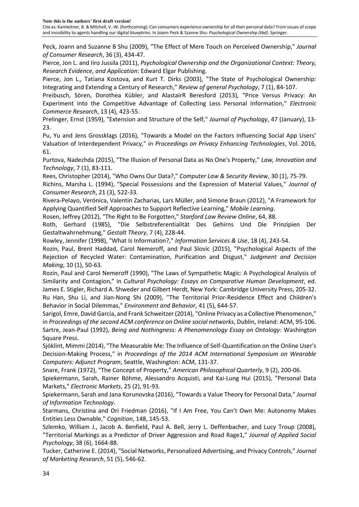Peck, Joann and Suzanne B Shu (2009), "The Effect of Mere Touch on Perceived Ownership," *Journal of Consumer Research*, 36 (3), 434-47.

Pierce, Jon L. and Iiro Jussila (2011), *Psychological Ownership and the Organizational Context: Theory, Research Evidence, and Application*: Edward Elgar Publishing.

Pierce, Jon L., Tatiana Kostova, and Kurt T. Dirks (2003), "The State of Psychological Ownership: Integrating and Extending a Century of Research," *Review of general Psychology*, 7 (1), 84-107.

Preibusch, Sören, Dorothea Kübler, and AlastairR Beresford (2013), "Price Versus Privacy: An Experiment into the Competitive Advantage of Collecting Less Personal Information," *Electronic Commerce Research*, 13 (4), 423-55.

Prelinger, Ernst (1959), "Extension and Structure of the Self," *Journal of Psychology*, 47 (January), 13- 23.

Pu, Yu and Jens Grossklags (2016), "Towards a Model on the Factors Influencing Social App Users' Valuation of Interdependent Privacy," in *Proceedings on Privacy Enhancing Technologies*, Vol. 2016, 61.

Purtova, Nadezhda (2015), "The Illusion of Personal Data as No One's Property," *Law, Innovation and Technology*, 7 (1), 83-111.

Rees, Christopher (2014), "Who Owns Our Data?," *Computer Law & Security Review*, 30 (1), 75-79.

Richins, Marsha L. (1994), "Special Possessions and the Expression of Material Values," *Journal of Consumer Research*, 21 (3), 522-33.

Rivera-Pelayo, Verónica, Valentin Zacharias, Lars Müller, and Simone Braun (2012), "A Framework for Applying Quantified Self Approaches to Support Reflective Learning," *Mobile Learning*.

Rosen, Jeffrey (2012), "The Right to Be Forgotten," *Stanford Law Review Online*, 64, 88.

Roth, Gerhard (1985), "Die Selbstreferentialität Des Gehirns Und Die Prinzipien Der Gestaltwahrnehmung," *Gestalt Theory*, 7 (4), 228-44.

Rowley, Jennifer (1998), "What Is Information?," *Information Services & Use*, 18 (4), 243-54.

Rozin, Paul, Brent Haddad, Carol Nemeroff, and Paul Slovic (2015), "Psychological Aspects of the Rejection of Recycled Water: Contamination, Purification and Disgust," *Judgment and Decision Making*, 10 (1), 50-63.

Rozin, Paul and Carol Nemeroff (1990), "The Laws of Sympathetic Magic: A Psychological Analysis of Similarity and Contagion," in *Cultural Psychology: Essays on Comparative Human Development*, ed. James E. Stigler, Richard A. Shweder and Gilbert Herdt, New York: Cambridge University Press, 205-32. Ru Han, Shu Li, and Jian-Nong Shi (2009), "The Territorial Prior-Residence Effect and Children's Behavior in Social Dilemmas," *Environment and Behavior*, 41 (5), 644-57.

Sarigol, Emre, David Garcia, and Frank Schweitzer (2014), "Online Privacy as a Collective Phenomenon," in *Proceedings of the second ACM conference on Online social networks*, Dublin, Ireland: ACM, 95-106. Sartre, Jean-Paul (1992), *Being and Nothingness: A Phenomenology Essay on Ontology*: Washington Square Press.

Sjöklint, Mimmi (2014), "The Measurable Me: The Influence of Self-Quantification on the Online User's Decision-Making Process," in *Proceedings of the 2014 ACM International Symposium on Wearable Computers: Adjunct Program*, Seattle, Washington: ACM, 131-37.

Snare, Frank (1972), "The Concept of Property," *American Philosophical Quarterly*, 9 (2), 200-06.

Spiekermann, Sarah, Rainer Böhme, Alessandro Acquisti, and Kai-Lung Hui (2015), "Personal Data Markets," *Electronic Markets*, 25 (2), 91-93.

Spiekermann, Sarah and Jana Korunovska (2016), "Towards a Value Theory for Personal Data," *Journal of Information Technology*.

Starmans, Christina and Ori Friedman (2016), "If I Am Free, You Can't Own Me: Autonomy Makes Entities Less Ownable," *Cognition*, 148, 145-53.

Szlemko, William J., Jacob A. Benfield, Paul A. Bell, Jerry L. Deffenbacher, and Lucy Troup (2008), "Territorial Markings as a Predictor of Driver Aggression and Road Rage1," *Journal of Applied Social Psychology*, 38 (6), 1664-88.

Tucker, Catherine E. (2014), "Social Networks, Personalized Advertising, and Privacy Controls," *Journal of Marketing Research*, 51 (5), 546-62.